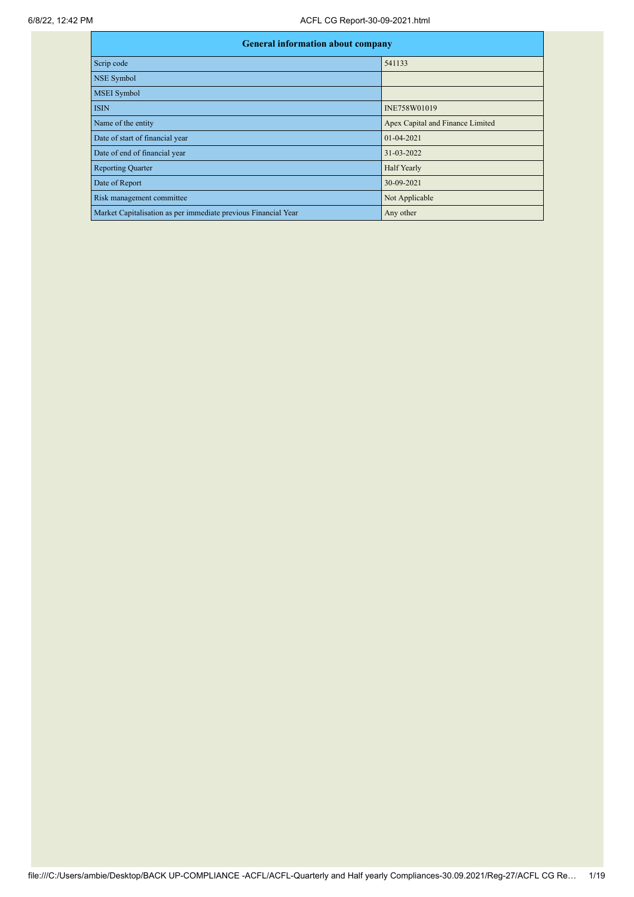| <b>General information about company</b>                       |                                  |  |  |  |  |  |
|----------------------------------------------------------------|----------------------------------|--|--|--|--|--|
| Scrip code                                                     | 541133                           |  |  |  |  |  |
| <b>NSE Symbol</b>                                              |                                  |  |  |  |  |  |
| <b>MSEI</b> Symbol                                             |                                  |  |  |  |  |  |
| <b>ISIN</b>                                                    | INE758W01019                     |  |  |  |  |  |
| Name of the entity                                             | Apex Capital and Finance Limited |  |  |  |  |  |
| Date of start of financial year                                | $01 - 04 - 2021$                 |  |  |  |  |  |
| Date of end of financial year                                  | 31-03-2022                       |  |  |  |  |  |
| <b>Reporting Quarter</b>                                       | Half Yearly                      |  |  |  |  |  |
| Date of Report                                                 | 30-09-2021                       |  |  |  |  |  |
| Risk management committee                                      | Not Applicable                   |  |  |  |  |  |
| Market Capitalisation as per immediate previous Financial Year | Any other                        |  |  |  |  |  |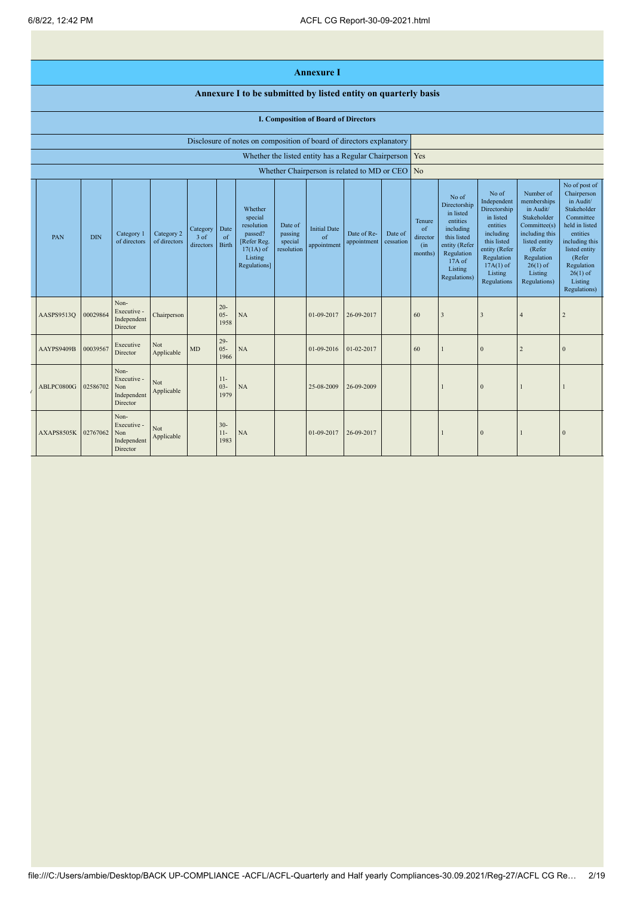## **Annexure I**

## **Annexure I to be submitted by listed entity on quarterly basis**

## **I. Composition of Board of Directors**

|            | Disclosure of notes on composition of board of directors explanatory |                                                       |                            |                                 |                            |                                                                                                      |                                             |                                          |                                                     |                      |                                            |                                                                                                                                                  |                                                                                                                                                                   |                                                                                                                                                                          |                                                                                                                                                                                                         |
|------------|----------------------------------------------------------------------|-------------------------------------------------------|----------------------------|---------------------------------|----------------------------|------------------------------------------------------------------------------------------------------|---------------------------------------------|------------------------------------------|-----------------------------------------------------|----------------------|--------------------------------------------|--------------------------------------------------------------------------------------------------------------------------------------------------|-------------------------------------------------------------------------------------------------------------------------------------------------------------------|--------------------------------------------------------------------------------------------------------------------------------------------------------------------------|---------------------------------------------------------------------------------------------------------------------------------------------------------------------------------------------------------|
|            |                                                                      |                                                       |                            |                                 |                            |                                                                                                      |                                             |                                          | Whether the listed entity has a Regular Chairperson |                      | Yes                                        |                                                                                                                                                  |                                                                                                                                                                   |                                                                                                                                                                          |                                                                                                                                                                                                         |
|            |                                                                      |                                                       |                            |                                 |                            |                                                                                                      |                                             |                                          | Whether Chairperson is related to MD or CEO         |                      | $\overline{\text{No}}$                     |                                                                                                                                                  |                                                                                                                                                                   |                                                                                                                                                                          |                                                                                                                                                                                                         |
| PAN        | <b>DIN</b>                                                           | Category 1<br>of directors                            | Category 2<br>of directors | Category<br>$3$ of<br>directors | Date<br>of<br><b>Birth</b> | Whether<br>special<br>resolution<br>passed?<br>[Refer Reg.<br>$17(1A)$ of<br>Listing<br>Regulations] | Date of<br>passing<br>special<br>resolution | <b>Initial Date</b><br>of<br>appointment | Date of Re-<br>appointment                          | Date of<br>cessation | Tenure<br>of<br>director<br>(in<br>months) | No of<br>Directorship<br>in listed<br>entities<br>including<br>this listed<br>entity (Refer<br>Regulation<br>$17A$ of<br>Listing<br>Regulations) | No of<br>Independent<br>Directorship<br>in listed<br>entities<br>including<br>this listed<br>entity (Refer<br>Regulation<br>$17A(1)$ of<br>Listing<br>Regulations | Number of<br>memberships<br>in Audit/<br>Stakeholder<br>Committee(s)<br>including this<br>listed entity<br>(Refer<br>Regulation<br>$26(1)$ of<br>Listing<br>Regulations) | No of post of<br>Chairperson<br>in Audit/<br>Stakeholder<br>Committee<br>held in listed<br>entities<br>including this<br>listed entity<br>(Refer<br>Regulation<br>$26(1)$ of<br>Listing<br>Regulations) |
| AASPS9513Q | 00029864                                                             | Non-<br>Executive -<br>Independent<br>Director        | Chairperson                |                                 | $20 -$<br>$05 -$<br>1958   | NA                                                                                                   |                                             | 01-09-2017                               | 26-09-2017                                          |                      | 60                                         | 3                                                                                                                                                | 3                                                                                                                                                                 | $\overline{4}$                                                                                                                                                           |                                                                                                                                                                                                         |
| AAYPS9409B | 00039567                                                             | Executive<br>Director                                 | Not<br>Applicable          | MD                              | $29 -$<br>$05 -$<br>1966   | NA                                                                                                   |                                             | 01-09-2016                               | 01-02-2017                                          |                      | 60                                         |                                                                                                                                                  | $\mathbf{0}$                                                                                                                                                      | $\overline{2}$                                                                                                                                                           | $\Omega$                                                                                                                                                                                                |
| ABLPC0800G | 02586702                                                             | Non-<br>Executive -<br>Non<br>Independent<br>Director | Not<br>Applicable          |                                 | $11-$<br>$03 -$<br>1979    | NA                                                                                                   |                                             | 25-08-2009                               | 26-09-2009                                          |                      |                                            |                                                                                                                                                  | $\mathbf{0}$                                                                                                                                                      |                                                                                                                                                                          |                                                                                                                                                                                                         |
| AXAPS8505K | 02767062                                                             | Non-<br>Executive -<br>Non<br>Independent<br>Director | Not<br>Applicable          |                                 | $30 -$<br>$11-$<br>1983    | NA                                                                                                   |                                             | 01-09-2017                               | 26-09-2017                                          |                      |                                            |                                                                                                                                                  | $\mathbf{0}$                                                                                                                                                      |                                                                                                                                                                          |                                                                                                                                                                                                         |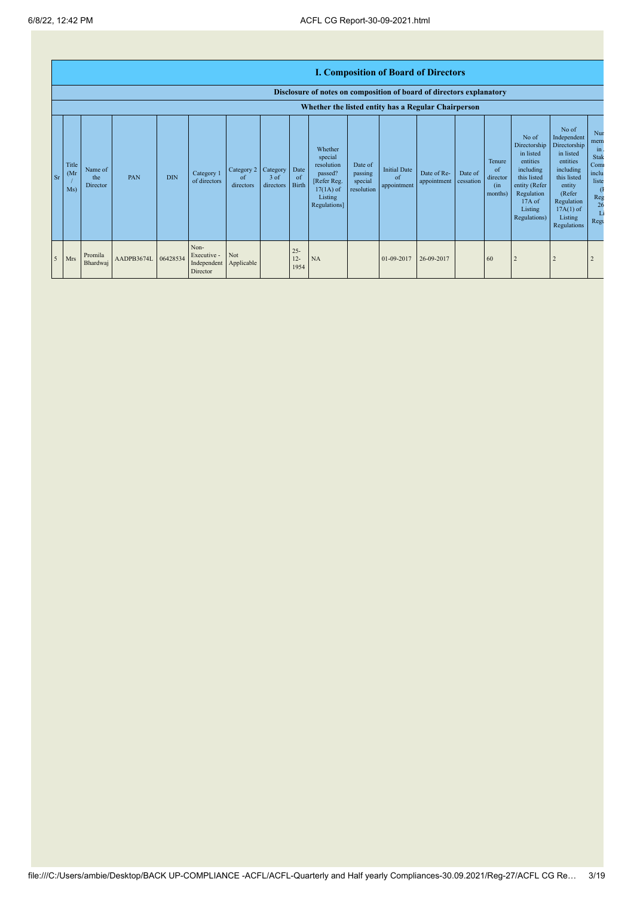|                |                      | <b>I. Composition of Board of Directors</b><br>Disclosure of notes on composition of board of directors explanatory |                     |            |                                                |                                          |                     |                            |                                                                                                      |                                             |                                          |                            |                      |                                             |                                                                                                                                                |                                                                                                                                                                      |                                                                        |
|----------------|----------------------|---------------------------------------------------------------------------------------------------------------------|---------------------|------------|------------------------------------------------|------------------------------------------|---------------------|----------------------------|------------------------------------------------------------------------------------------------------|---------------------------------------------|------------------------------------------|----------------------------|----------------------|---------------------------------------------|------------------------------------------------------------------------------------------------------------------------------------------------|----------------------------------------------------------------------------------------------------------------------------------------------------------------------|------------------------------------------------------------------------|
|                |                      |                                                                                                                     |                     |            |                                                |                                          |                     |                            |                                                                                                      |                                             |                                          |                            |                      |                                             |                                                                                                                                                |                                                                                                                                                                      |                                                                        |
|                |                      | Whether the listed entity has a Regular Chairperson                                                                 |                     |            |                                                |                                          |                     |                            |                                                                                                      |                                             |                                          |                            |                      |                                             |                                                                                                                                                |                                                                                                                                                                      |                                                                        |
| <b>Sr</b>      | Title<br>(Mr)<br>Ms) | Name of<br>the<br><b>Director</b>                                                                                   | PAN                 | <b>DIN</b> | Category 1<br>of directors                     | Category 2   Category<br>of<br>directors | $3$ of<br>directors | Date<br>of<br><b>Birth</b> | Whether<br>special<br>resolution<br>passed?<br>[Refer Reg.<br>$17(1A)$ of<br>Listing<br>Regulations] | Date of<br>passing<br>special<br>resolution | <b>Initial Date</b><br>of<br>appointment | Date of Re-<br>appointment | Date of<br>cessation | Tenure<br>of<br>director<br>(in)<br>months) | No of<br>Directorship<br>in listed<br>entities<br>including<br>this listed<br>entity (Refer<br>Regulation<br>17A of<br>Listing<br>Regulations) | No of<br>Independent<br>Directorship<br>in listed<br>entities<br>including<br>this listed<br>entity<br>(Refer<br>Regulation<br>$17A(1)$ of<br>Listing<br>Regulations | Nur<br>mem<br>in<br>Stak<br>Com<br>inclu<br>liste<br>Reg<br>26<br>Regu |
| 5 <sup>5</sup> | Mrs                  | Promila<br>Bhardwaj                                                                                                 | AADPB3674L 06428534 |            | Non-<br>Executive -<br>Independent<br>Director | Not<br>Applicable                        |                     | $25 -$<br>$12 -$<br>1954   | NA                                                                                                   |                                             | 01-09-2017                               | 26-09-2017                 |                      | 60                                          |                                                                                                                                                | $\overline{2}$                                                                                                                                                       | $\overline{2}$                                                         |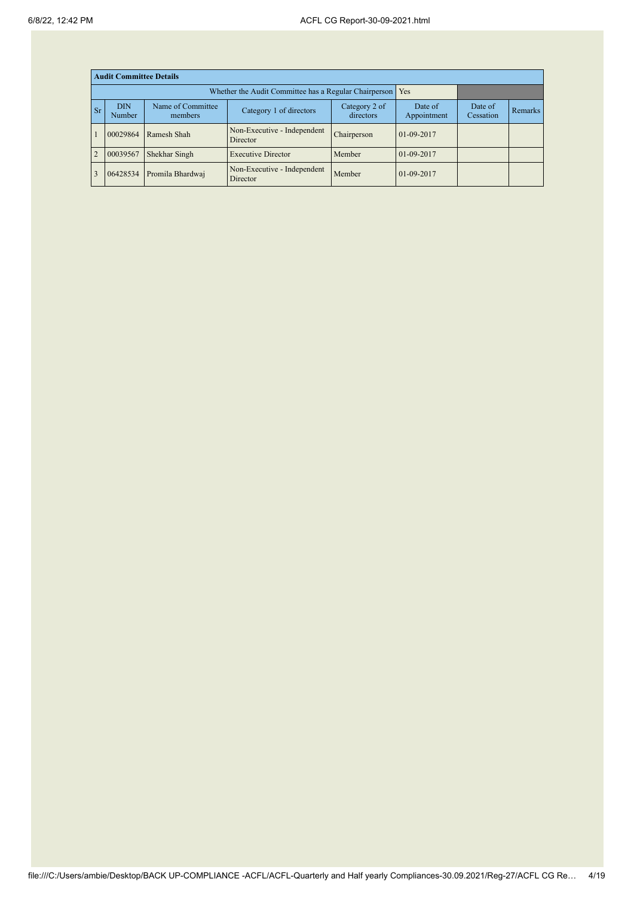|                | <b>Audit Committee Details</b> |                              |                                                       |                            |                        |                      |                |  |  |  |
|----------------|--------------------------------|------------------------------|-------------------------------------------------------|----------------------------|------------------------|----------------------|----------------|--|--|--|
|                |                                |                              | Whether the Audit Committee has a Regular Chairperson | Yes                        |                        |                      |                |  |  |  |
| $S_{r}$        | <b>DIN</b><br>Number           | Name of Committee<br>members | Category 1 of directors                               | Category 2 of<br>directors | Date of<br>Appointment | Date of<br>Cessation | <b>Remarks</b> |  |  |  |
| $\overline{1}$ | 00029864                       | Ramesh Shah                  | Non-Executive - Independent<br>Director               | Chairperson                | 01-09-2017             |                      |                |  |  |  |
| $\overline{2}$ | 00039567                       | Shekhar Singh                | <b>Executive Director</b>                             | Member                     | 01-09-2017             |                      |                |  |  |  |
| $\overline{3}$ | 06428534                       | Promila Bhardwaj             | Non-Executive - Independent<br>Director               | Member                     | 01-09-2017             |                      |                |  |  |  |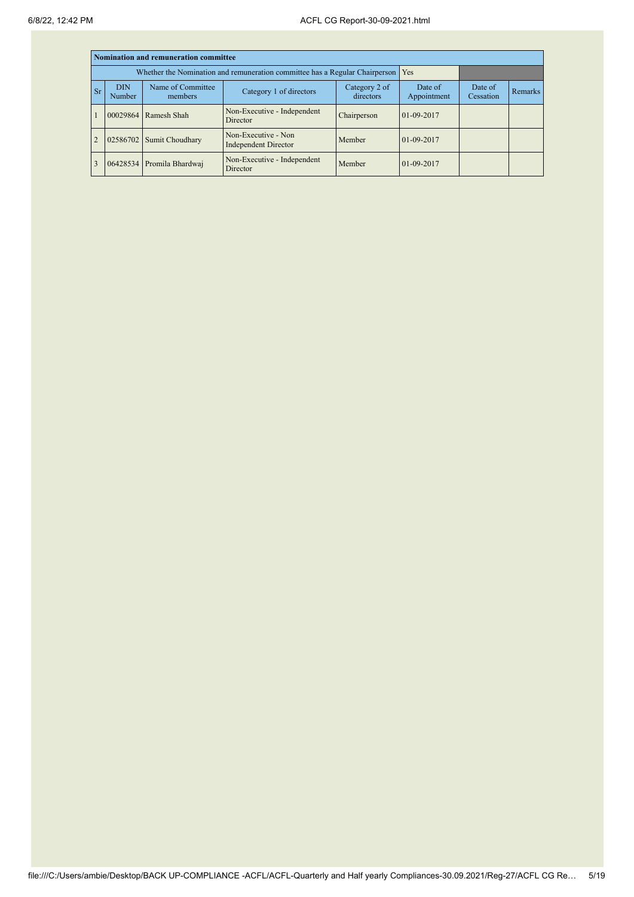|           | Nomination and remuneration committee |                                                                                   |                                                    |                            |                        |                      |                |  |  |  |  |
|-----------|---------------------------------------|-----------------------------------------------------------------------------------|----------------------------------------------------|----------------------------|------------------------|----------------------|----------------|--|--|--|--|
|           |                                       | Whether the Nomination and remuneration committee has a Regular Chairperson   Yes |                                                    |                            |                        |                      |                |  |  |  |  |
| <b>Sr</b> | <b>DIN</b><br>Number                  | Name of Committee<br>members                                                      | Category 1 of directors                            | Category 2 of<br>directors | Date of<br>Appointment | Date of<br>Cessation | <b>Remarks</b> |  |  |  |  |
|           | 00029864                              | Ramesh Shah                                                                       | Non-Executive - Independent<br>Director            | Chairperson                | $01-09-2017$           |                      |                |  |  |  |  |
|           | 02586702                              | Sumit Choudhary                                                                   | Non-Executive - Non<br><b>Independent Director</b> | Member                     | $01-09-2017$           |                      |                |  |  |  |  |
|           |                                       | 06428534 Promila Bhardwaj                                                         | Non-Executive - Independent<br>Director            | Member                     | $01-09-2017$           |                      |                |  |  |  |  |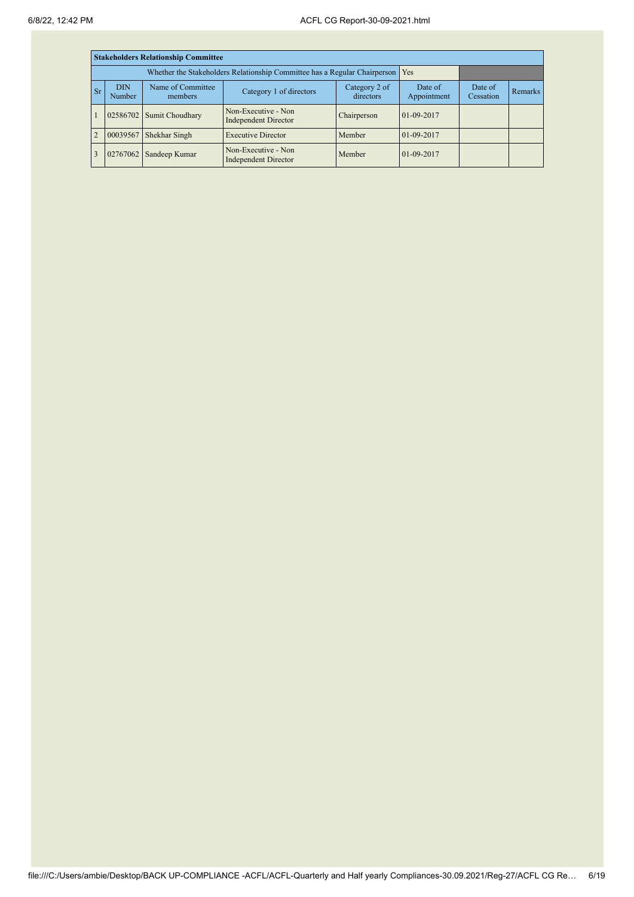|                | <b>Stakeholders Relationship Committee</b> |                                                                           |                                             |                            |                        |                      |                |  |  |  |
|----------------|--------------------------------------------|---------------------------------------------------------------------------|---------------------------------------------|----------------------------|------------------------|----------------------|----------------|--|--|--|
|                |                                            | Whether the Stakeholders Relationship Committee has a Regular Chairperson | Yes                                         |                            |                        |                      |                |  |  |  |
| <b>Sr</b>      | <b>DIN</b><br>Number                       | Name of Committee<br>members                                              | Category 1 of directors                     | Category 2 of<br>directors | Date of<br>Appointment | Date of<br>Cessation | <b>Remarks</b> |  |  |  |
|                |                                            | 02586702 Sumit Choudhary                                                  | Non-Executive - Non<br>Independent Director | Chairperson                | 01-09-2017             |                      |                |  |  |  |
| $\overline{2}$ | 00039567                                   | Shekhar Singh                                                             | <b>Executive Director</b>                   | Member                     | 01-09-2017             |                      |                |  |  |  |
|                | 02767062                                   | Sandeep Kumar                                                             | Non-Executive - Non<br>Independent Director | Member                     | 01-09-2017             |                      |                |  |  |  |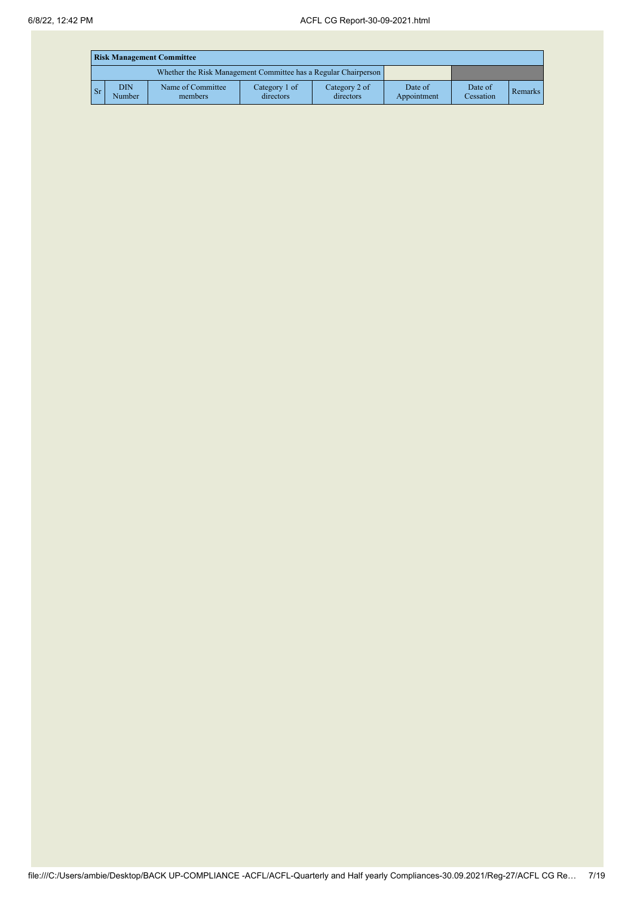|                | <b>Risk Management Committee</b> |                                                                 |                            |                            |                        |                      |         |  |  |
|----------------|----------------------------------|-----------------------------------------------------------------|----------------------------|----------------------------|------------------------|----------------------|---------|--|--|
|                |                                  | Whether the Risk Management Committee has a Regular Chairperson |                            |                            |                        |                      |         |  |  |
| $\mathbf{S}$ r | DIN<br>Number                    | Name of Committee<br>members                                    | Category 1 of<br>directors | Category 2 of<br>directors | Date of<br>Appointment | Date of<br>Cessation | Remarks |  |  |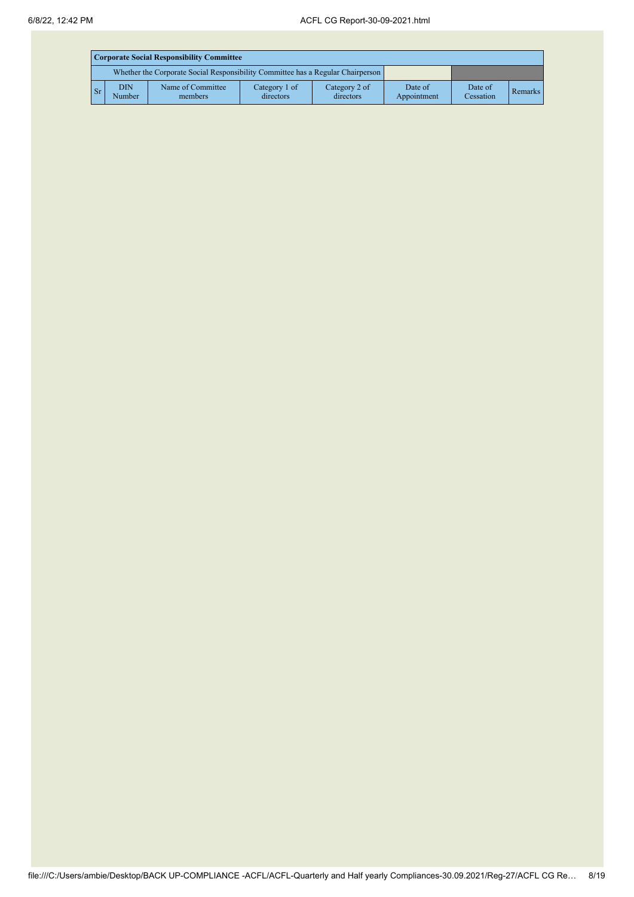|       | <b>Corporate Social Responsibility Committee</b>                                |                              |                            |                            |                        |                      |         |  |  |
|-------|---------------------------------------------------------------------------------|------------------------------|----------------------------|----------------------------|------------------------|----------------------|---------|--|--|
|       | Whether the Corporate Social Responsibility Committee has a Regular Chairperson |                              |                            |                            |                        |                      |         |  |  |
| $S_r$ | <b>DIN</b><br>Number                                                            | Name of Committee<br>members | Category 1 of<br>directors | Category 2 of<br>directors | Date of<br>Appointment | Date of<br>Cessation | Remarks |  |  |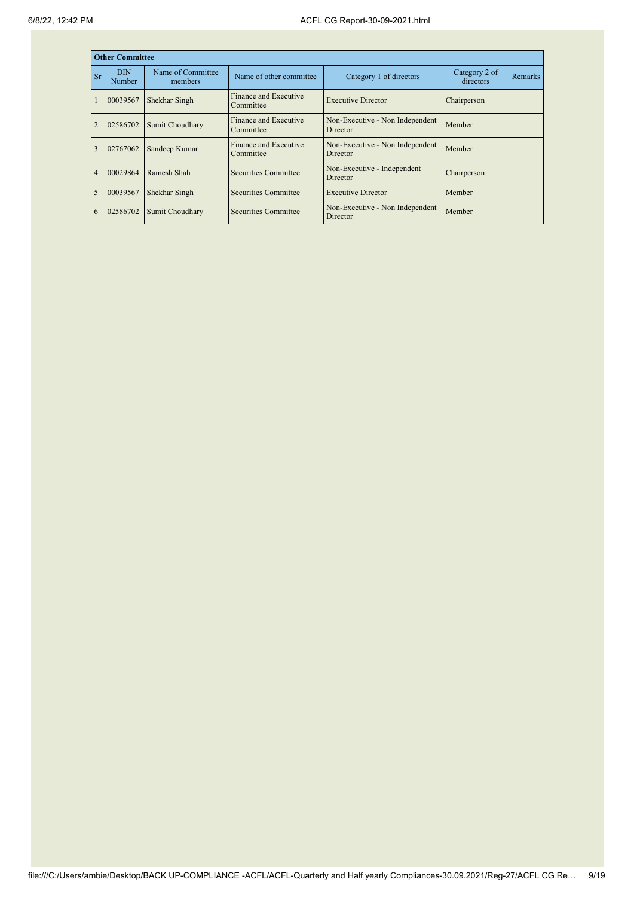|                | <b>Other Committee</b> |                              |                                    |                                             |                            |                |
|----------------|------------------------|------------------------------|------------------------------------|---------------------------------------------|----------------------------|----------------|
| <b>Sr</b>      | <b>DIN</b><br>Number   | Name of Committee<br>members | Name of other committee            | Category 1 of directors                     | Category 2 of<br>directors | <b>Remarks</b> |
|                | 00039567               | Shekhar Singh                | Finance and Executive<br>Committee | <b>Executive Director</b>                   | Chairperson                |                |
|                | 02586702               | Sumit Choudhary              | Finance and Executive<br>Committee | Non-Executive - Non Independent<br>Director | Member                     |                |
| 3              | 02767062               | Sandeep Kumar                | Finance and Executive<br>Committee | Non-Executive - Non Independent<br>Director | Member                     |                |
| $\overline{4}$ | 00029864               | Ramesh Shah                  | Securities Committee               | Non-Executive - Independent<br>Director     | Chairperson                |                |
| $\overline{5}$ | 00039567               | Shekhar Singh                | Securities Committee               | <b>Executive Director</b>                   | Member                     |                |
| 6              | 02586702               | Sumit Choudhary              | Securities Committee               | Non-Executive - Non Independent<br>Director | Member                     |                |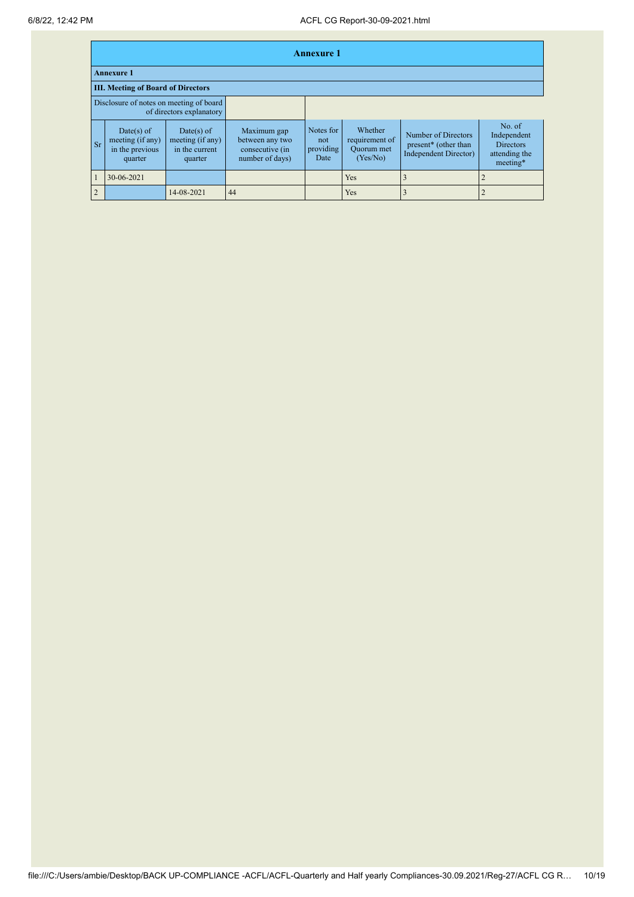|           | <b>Annexure 1</b>                                                   |                                                             |                                                                      |                                       |                                                     |                                                                      |                                                                        |  |  |
|-----------|---------------------------------------------------------------------|-------------------------------------------------------------|----------------------------------------------------------------------|---------------------------------------|-----------------------------------------------------|----------------------------------------------------------------------|------------------------------------------------------------------------|--|--|
|           | <b>Annexure 1</b>                                                   |                                                             |                                                                      |                                       |                                                     |                                                                      |                                                                        |  |  |
|           | <b>III. Meeting of Board of Directors</b>                           |                                                             |                                                                      |                                       |                                                     |                                                                      |                                                                        |  |  |
|           | Disclosure of notes on meeting of board<br>of directors explanatory |                                                             |                                                                      |                                       |                                                     |                                                                      |                                                                        |  |  |
| <b>Sr</b> | Date(s) of<br>meeting (if any)<br>in the previous<br>quarter        | Date(s) of<br>meeting (if any)<br>in the current<br>quarter | Maximum gap<br>between any two<br>consecutive (in<br>number of days) | Notes for<br>not<br>providing<br>Date | Whether<br>requirement of<br>Quorum met<br>(Yes/No) | Number of Directors<br>present* (other than<br>Independent Director) | No. of<br>Independent<br><b>Directors</b><br>attending the<br>meeting* |  |  |
|           | 30-06-2021                                                          |                                                             |                                                                      |                                       | <b>Yes</b>                                          |                                                                      |                                                                        |  |  |
| 2         |                                                                     | 14-08-2021                                                  | 44                                                                   |                                       | Yes                                                 |                                                                      |                                                                        |  |  |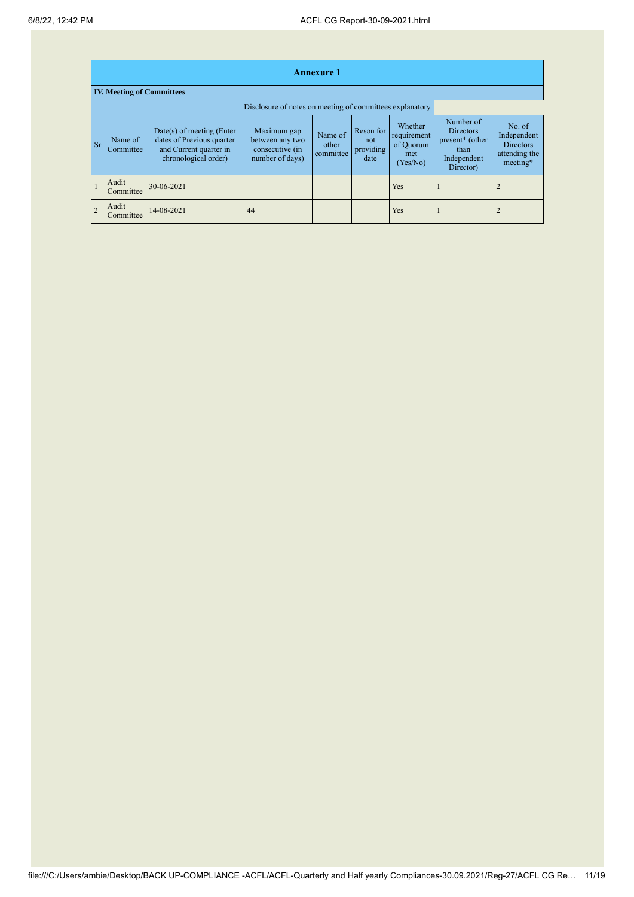|                | <b>Annexure 1</b>                                        |                                                                                                            |                                                                      |                               |                                       |                                                        |                                                                                      |                                                                        |  |
|----------------|----------------------------------------------------------|------------------------------------------------------------------------------------------------------------|----------------------------------------------------------------------|-------------------------------|---------------------------------------|--------------------------------------------------------|--------------------------------------------------------------------------------------|------------------------------------------------------------------------|--|
|                | <b>IV. Meeting of Committees</b>                         |                                                                                                            |                                                                      |                               |                                       |                                                        |                                                                                      |                                                                        |  |
|                | Disclosure of notes on meeting of committees explanatory |                                                                                                            |                                                                      |                               |                                       |                                                        |                                                                                      |                                                                        |  |
| $S_{r}$        | Name of<br>Committee                                     | $Date(s)$ of meeting (Enter<br>dates of Previous quarter<br>and Current quarter in<br>chronological order) | Maximum gap<br>between any two<br>consecutive (in<br>number of days) | Name of<br>other<br>committee | Reson for<br>not<br>providing<br>date | Whether<br>requirement<br>of Quorum<br>met<br>(Yes/No) | Number of<br><b>Directors</b><br>present* (other<br>than<br>Independent<br>Director) | No. of<br>Independent<br><b>Directors</b><br>attending the<br>meeting* |  |
| $\mathbf{1}$   | Audit<br>Committee                                       | 30-06-2021                                                                                                 |                                                                      |                               |                                       | <b>Yes</b>                                             |                                                                                      |                                                                        |  |
| $\overline{2}$ | Audit<br>Committee                                       | 14-08-2021                                                                                                 | 44                                                                   |                               |                                       | <b>Yes</b>                                             |                                                                                      |                                                                        |  |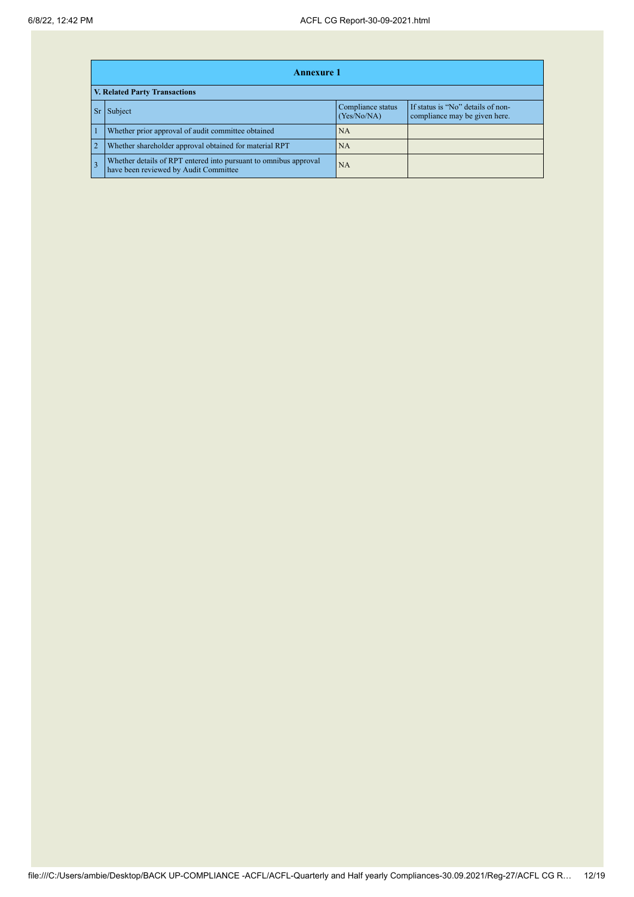|                | <b>Annexure 1</b>                                                                                         |                                  |                                                                    |  |  |  |  |  |  |
|----------------|-----------------------------------------------------------------------------------------------------------|----------------------------------|--------------------------------------------------------------------|--|--|--|--|--|--|
|                | V. Related Party Transactions                                                                             |                                  |                                                                    |  |  |  |  |  |  |
|                | Subject                                                                                                   | Compliance status<br>(Yes/No/NA) | If status is "No" details of non-<br>compliance may be given here. |  |  |  |  |  |  |
|                | Whether prior approval of audit committee obtained                                                        | NA                               |                                                                    |  |  |  |  |  |  |
| $\overline{2}$ | Whether shareholder approval obtained for material RPT                                                    | NA                               |                                                                    |  |  |  |  |  |  |
|                | Whether details of RPT entered into pursuant to omnibus approval<br>have been reviewed by Audit Committee | <b>NA</b>                        |                                                                    |  |  |  |  |  |  |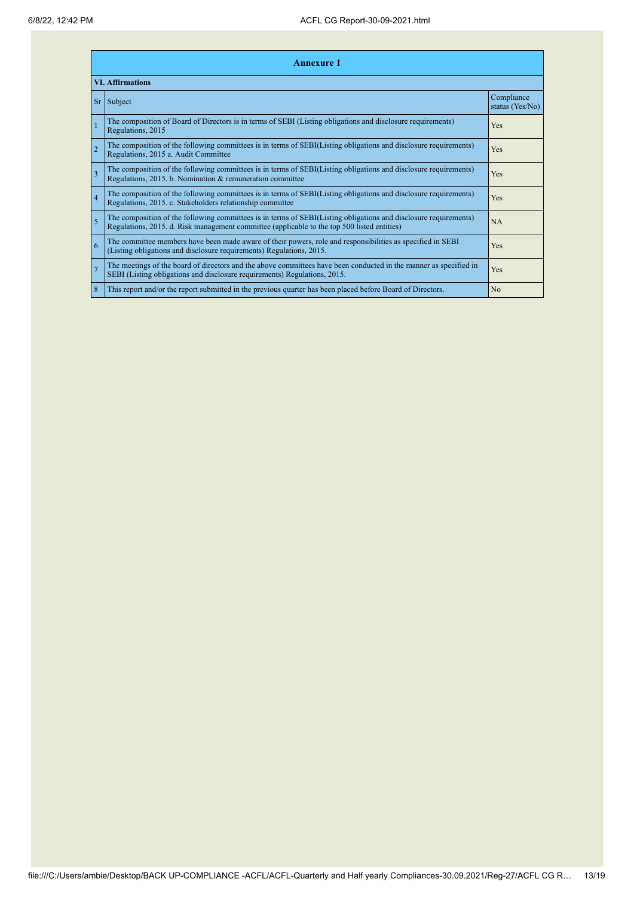|                         | <b>Annexure 1</b> |                                                                                                                                                                                                                 |                               |  |  |  |
|-------------------------|-------------------|-----------------------------------------------------------------------------------------------------------------------------------------------------------------------------------------------------------------|-------------------------------|--|--|--|
| <b>VI. Affirmations</b> |                   |                                                                                                                                                                                                                 |                               |  |  |  |
|                         |                   | $Sr$ Subject                                                                                                                                                                                                    | Compliance<br>status (Yes/No) |  |  |  |
|                         |                   | The composition of Board of Directors is in terms of SEBI (Listing obligations and disclosure requirements)<br>Regulations, 2015                                                                                | Yes                           |  |  |  |
|                         | $\overline{2}$    | The composition of the following committees is in terms of SEBI(Listing obligations and disclosure requirements)<br>Regulations, 2015 a. Audit Committee                                                        | Yes                           |  |  |  |
|                         | $\overline{3}$    | The composition of the following committees is in terms of SEBI(Listing obligations and disclosure requirements)<br>Regulations, 2015. b. Nomination & remuneration committee                                   | Yes                           |  |  |  |
|                         | $\overline{4}$    | The composition of the following committees is in terms of SEBI(Listing obligations and disclosure requirements)<br>Regulations, 2015. c. Stakeholders relationship committee                                   | Yes                           |  |  |  |
|                         | $\overline{5}$    | The composition of the following committees is in terms of SEBI(Listing obligations and disclosure requirements)<br>Regulations, 2015. d. Risk management committee (applicable to the top 500 listed entities) | NA                            |  |  |  |
|                         | 6                 | The committee members have been made aware of their powers, role and responsibilities as specified in SEBI<br>(Listing obligations and disclosure requirements) Regulations, 2015.                              | Yes                           |  |  |  |
|                         | $\overline{7}$    | The meetings of the board of directors and the above committees have been conducted in the manner as specified in<br>SEBI (Listing obligations and disclosure requirements) Regulations, 2015.                  | Yes                           |  |  |  |
|                         | 8                 | This report and/or the report submitted in the previous quarter has been placed before Board of Directors.                                                                                                      | N <sub>o</sub>                |  |  |  |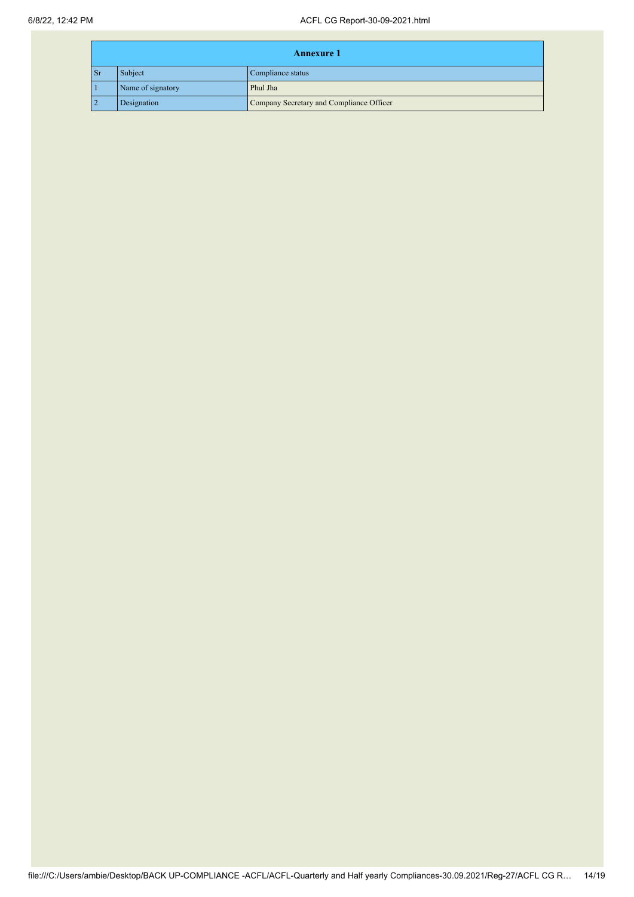|                | <b>Annexure 1</b> |                                          |  |
|----------------|-------------------|------------------------------------------|--|
| $\mathbf{S}$ r | Subject           | Compliance status                        |  |
|                | Name of signatory | Phul Jha                                 |  |
| $\overline{2}$ | Designation       | Company Secretary and Compliance Officer |  |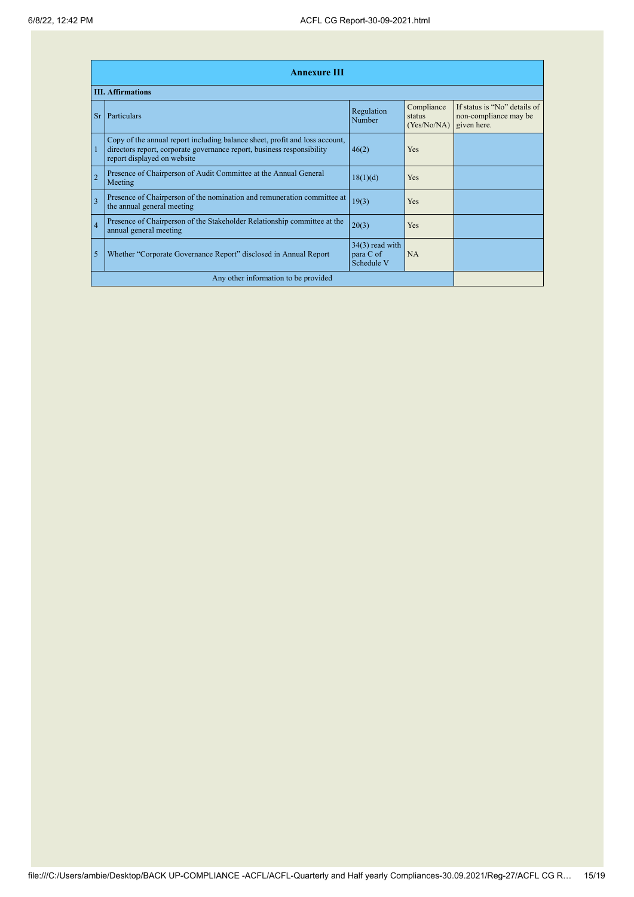| <b>Annexure III</b>                  |                                                                                                                                                                                      |                                              |                                     |                                                                      |
|--------------------------------------|--------------------------------------------------------------------------------------------------------------------------------------------------------------------------------------|----------------------------------------------|-------------------------------------|----------------------------------------------------------------------|
|                                      | <b>III. Affirmations</b>                                                                                                                                                             |                                              |                                     |                                                                      |
| Sr                                   | Particulars                                                                                                                                                                          | Regulation<br>Number                         | Compliance<br>status<br>(Yes/No/NA) | If status is "No" details of<br>non-compliance may be<br>given here. |
|                                      | Copy of the annual report including balance sheet, profit and loss account,<br>directors report, corporate governance report, business responsibility<br>report displayed on website | 46(2)                                        | Yes                                 |                                                                      |
| $\overline{2}$                       | Presence of Chairperson of Audit Committee at the Annual General<br>Meeting                                                                                                          | 18(1)(d)                                     | Yes                                 |                                                                      |
| $\overline{3}$                       | Presence of Chairperson of the nomination and remuneration committee at<br>the annual general meeting                                                                                | 19(3)                                        | Yes                                 |                                                                      |
| $\overline{4}$                       | Presence of Chairperson of the Stakeholder Relationship committee at the<br>annual general meeting                                                                                   | 20(3)                                        | Yes                                 |                                                                      |
| 5                                    | Whether "Corporate Governance Report" disclosed in Annual Report                                                                                                                     | $34(3)$ read with<br>para C of<br>Schedule V | <b>NA</b>                           |                                                                      |
| Any other information to be provided |                                                                                                                                                                                      |                                              |                                     |                                                                      |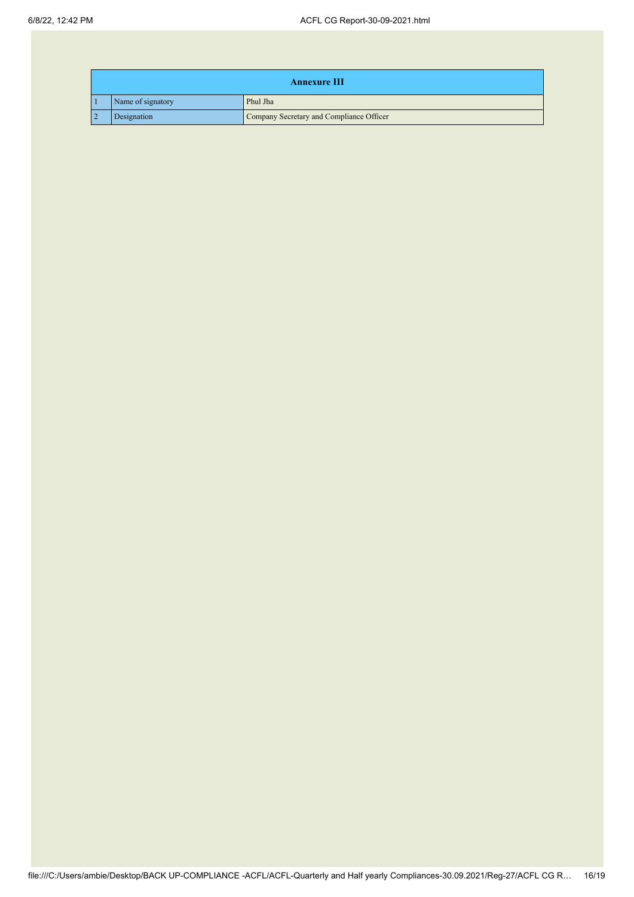| <b>Annexure III</b> |                                          |  |
|---------------------|------------------------------------------|--|
| Name of signatory   | Phul Jha                                 |  |
| Designation         | Company Secretary and Compliance Officer |  |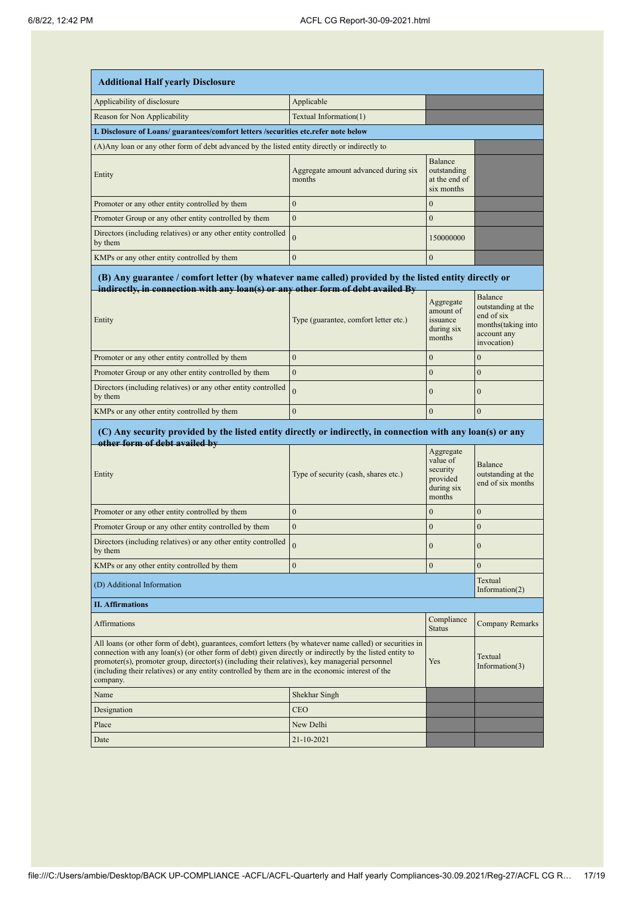| <b>Additional Half yearly Disclosure</b>                                                                                                                                                                                                                                                                                                                                                                                                |                                                |                                                                       |                                                                                       |  |
|-----------------------------------------------------------------------------------------------------------------------------------------------------------------------------------------------------------------------------------------------------------------------------------------------------------------------------------------------------------------------------------------------------------------------------------------|------------------------------------------------|-----------------------------------------------------------------------|---------------------------------------------------------------------------------------|--|
| Applicability of disclosure                                                                                                                                                                                                                                                                                                                                                                                                             | Applicable                                     |                                                                       |                                                                                       |  |
| Reason for Non Applicability                                                                                                                                                                                                                                                                                                                                                                                                            | Textual Information(1)                         |                                                                       |                                                                                       |  |
| I. Disclosure of Loans/ guarantees/comfort letters /securities etc.refer note below                                                                                                                                                                                                                                                                                                                                                     |                                                |                                                                       |                                                                                       |  |
| (A) Any loan or any other form of debt advanced by the listed entity directly or indirectly to                                                                                                                                                                                                                                                                                                                                          |                                                |                                                                       |                                                                                       |  |
| Entity                                                                                                                                                                                                                                                                                                                                                                                                                                  | Aggregate amount advanced during six<br>months | <b>Balance</b><br>outstanding<br>at the end of<br>six months          |                                                                                       |  |
| Promoter or any other entity controlled by them                                                                                                                                                                                                                                                                                                                                                                                         | $\overline{0}$                                 | $\mathbf{0}$                                                          |                                                                                       |  |
| Promoter Group or any other entity controlled by them                                                                                                                                                                                                                                                                                                                                                                                   | $\mathbf{0}$                                   | $\mathbf{0}$                                                          |                                                                                       |  |
| Directors (including relatives) or any other entity controlled<br>by them                                                                                                                                                                                                                                                                                                                                                               | $\overline{0}$                                 | 150000000                                                             |                                                                                       |  |
| KMPs or any other entity controlled by them                                                                                                                                                                                                                                                                                                                                                                                             | $\mathbf{0}$                                   | $\mathbf{0}$                                                          |                                                                                       |  |
| (B) Any guarantee / comfort letter (by whatever name called) provided by the listed entity directly or<br>indirectly, in connection with any loan(s) or any other form of debt availed By<br>Balance                                                                                                                                                                                                                                    |                                                |                                                                       |                                                                                       |  |
| Entity                                                                                                                                                                                                                                                                                                                                                                                                                                  | Type (guarantee, comfort letter etc.)          | Aggregate<br>amount of<br>issuance<br>during six<br>months            | outstanding at the<br>end of six<br>months (taking into<br>account any<br>invocation) |  |
| Promoter or any other entity controlled by them                                                                                                                                                                                                                                                                                                                                                                                         | $\boldsymbol{0}$                               | $\boldsymbol{0}$                                                      | $\boldsymbol{0}$                                                                      |  |
| Promoter Group or any other entity controlled by them                                                                                                                                                                                                                                                                                                                                                                                   | $\overline{0}$                                 | $\mathbf{0}$                                                          | $\mathbf{0}$                                                                          |  |
| Directors (including relatives) or any other entity controlled<br>by them                                                                                                                                                                                                                                                                                                                                                               | $\overline{0}$                                 | $\mathbf{0}$                                                          | $\mathbf{0}$                                                                          |  |
| KMPs or any other entity controlled by them                                                                                                                                                                                                                                                                                                                                                                                             | $\overline{0}$                                 | $\overline{0}$                                                        | $\mathbf{0}$                                                                          |  |
| (C) Any security provided by the listed entity directly or indirectly, in connection with any loan(s) or any<br>other form of debt availed by                                                                                                                                                                                                                                                                                           |                                                |                                                                       |                                                                                       |  |
| Entity                                                                                                                                                                                                                                                                                                                                                                                                                                  | Type of security (cash, shares etc.)           | Aggregate<br>value of<br>security<br>provided<br>during six<br>months | Balance<br>outstanding at the<br>end of six months                                    |  |
| Promoter or any other entity controlled by them                                                                                                                                                                                                                                                                                                                                                                                         | $\overline{0}$                                 | $\boldsymbol{0}$                                                      | $\boldsymbol{0}$                                                                      |  |
| Promoter Group or any other entity controlled by them                                                                                                                                                                                                                                                                                                                                                                                   | $\overline{0}$                                 | $\mathbf{0}$                                                          | $\boldsymbol{0}$                                                                      |  |
| Directors (including relatives) or any other entity controlled<br>by them                                                                                                                                                                                                                                                                                                                                                               |                                                | $\boldsymbol{0}$                                                      | $\boldsymbol{0}$                                                                      |  |
| KMPs or any other entity controlled by them                                                                                                                                                                                                                                                                                                                                                                                             | $\boldsymbol{0}$                               | $\mathbf{0}$                                                          | $\mathbf{0}$                                                                          |  |
| Textual<br>(D) Additional Information<br>Information $(2)$                                                                                                                                                                                                                                                                                                                                                                              |                                                |                                                                       |                                                                                       |  |
| <b>II.</b> Affirmations                                                                                                                                                                                                                                                                                                                                                                                                                 |                                                |                                                                       |                                                                                       |  |
| Affirmations                                                                                                                                                                                                                                                                                                                                                                                                                            |                                                | Compliance<br><b>Status</b>                                           | Company Remarks                                                                       |  |
| All loans (or other form of debt), guarantees, comfort letters (by whatever name called) or securities in<br>connection with any loan(s) (or other form of debt) given directly or indirectly by the listed entity to<br>promoter(s), promoter group, director(s) (including their relatives), key managerial personnel<br>(including their relatives) or any entity controlled by them are in the economic interest of the<br>company. |                                                | Yes                                                                   | Textual<br>Information(3)                                                             |  |
| Name                                                                                                                                                                                                                                                                                                                                                                                                                                    | Shekhar Singh                                  |                                                                       |                                                                                       |  |
| Designation                                                                                                                                                                                                                                                                                                                                                                                                                             | CEO                                            |                                                                       |                                                                                       |  |
| Place                                                                                                                                                                                                                                                                                                                                                                                                                                   | New Delhi                                      |                                                                       |                                                                                       |  |
| Date                                                                                                                                                                                                                                                                                                                                                                                                                                    | 21-10-2021                                     |                                                                       |                                                                                       |  |